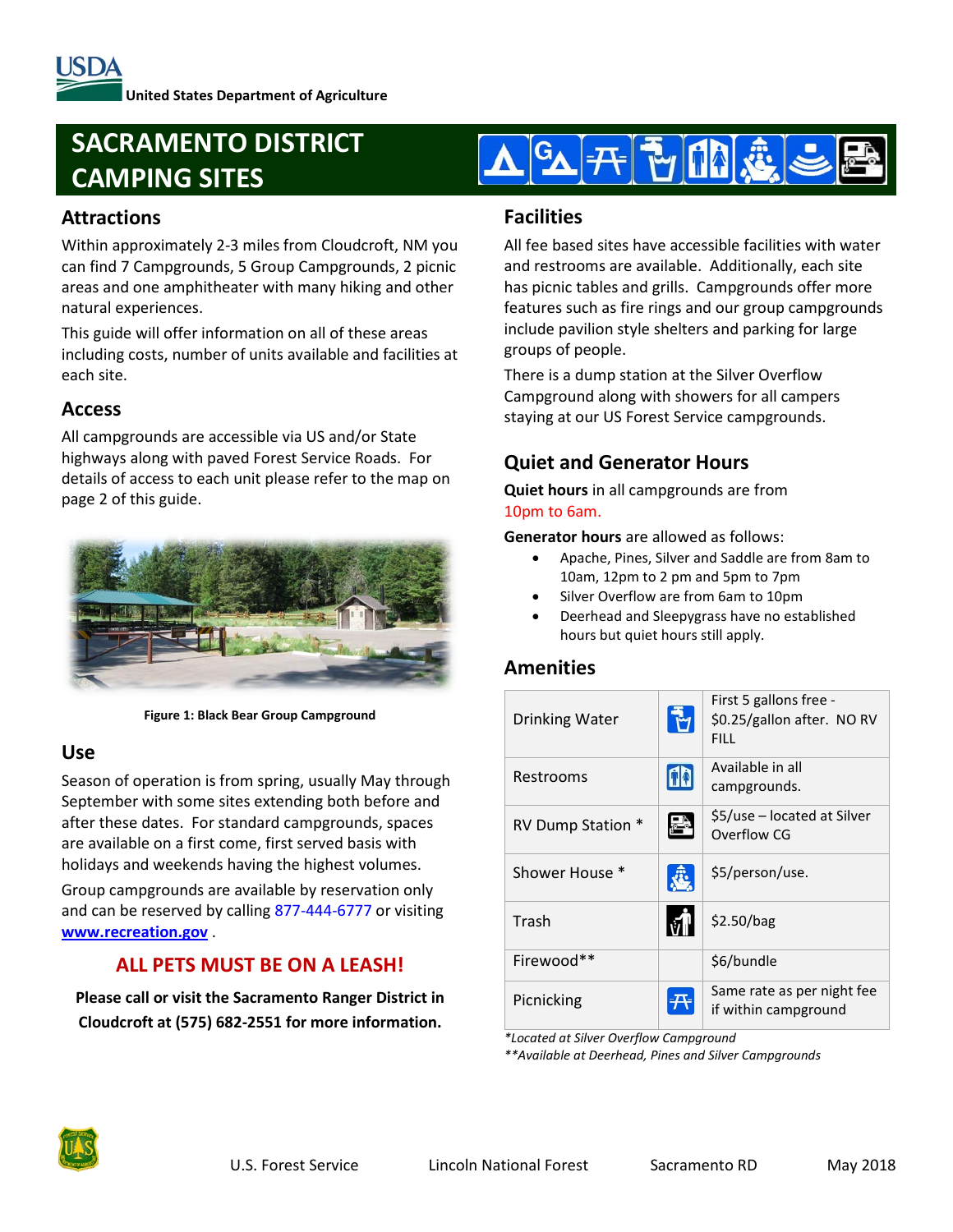# **SACRAMENTO DISTRICT CAMPING SITES**

# **Attractions**

Within approximately 2-3 miles from Cloudcroft, NM you can find 7 Campgrounds, 5 Group Campgrounds, 2 picnic areas and one amphitheater with many hiking and other natural experiences.

This guide will offer information on all of these areas including costs, number of units available and facilities at each site.

# **Access**

All campgrounds are accessible via US and/or State highways along with paved Forest Service Roads. For details of access to each unit please refer to the map on page 2 of this guide.



**Figure 1: Black Bear Group Campground**

# **Use**

Season of operation is from spring, usually May through September with some sites extending both before and after these dates. For standard campgrounds, spaces are available on a first come, first served basis with holidays and weekends having the highest volumes.

Group campgrounds are available by reservation only and can be reserved by calling 877-444-6777 or visiting **[www.recreation.gov](http://www.recreation.gov/)** .

# **ALL PETS MUST BE ON A LEASH!**

**Please call or visit the Sacramento Ranger District in Cloudcroft at (575) 682-2551 for more information.**



#### **Facilities**

All fee based sites have accessible facilities with water and restrooms are available. Additionally, each site has picnic tables and grills. Campgrounds offer more features such as fire rings and our group campgrounds include pavilion style shelters and parking for large groups of people.

There is a dump station at the Silver Overflow Campground along with showers for all campers staying at our US Forest Service campgrounds.

# **Quiet and Generator Hours**

**Quiet hours** in all campgrounds are from 10pm to 6am.

**Generator hours** are allowed as follows:

- Apache, Pines, Silver and Saddle are from 8am to 10am, 12pm to 2 pm and 5pm to 7pm
- Silver Overflow are from 6am to 10pm
- Deerhead and Sleepygrass have no established hours but quiet hours still apply.

# **Amenities**

| <b>Drinking Water</b> | First 5 gallons free -<br>\$0.25/gallon after. NO RV<br>FILL. |  |
|-----------------------|---------------------------------------------------------------|--|
| Restrooms             | Available in all<br>campgrounds.                              |  |
| RV Dump Station *     | \$5/use – located at Silver<br>Overflow CG                    |  |
| Shower House *        | \$5/person/use.                                               |  |
| Trash                 | \$2.50/bag                                                    |  |
| Firewood**            | \$6/bundle                                                    |  |
| Picnicking            | Same rate as per night fee<br>if within campground            |  |

*\*Located at Silver Overflow Campground*

*\*\*Available at Deerhead, Pines and Silver Campgrounds*

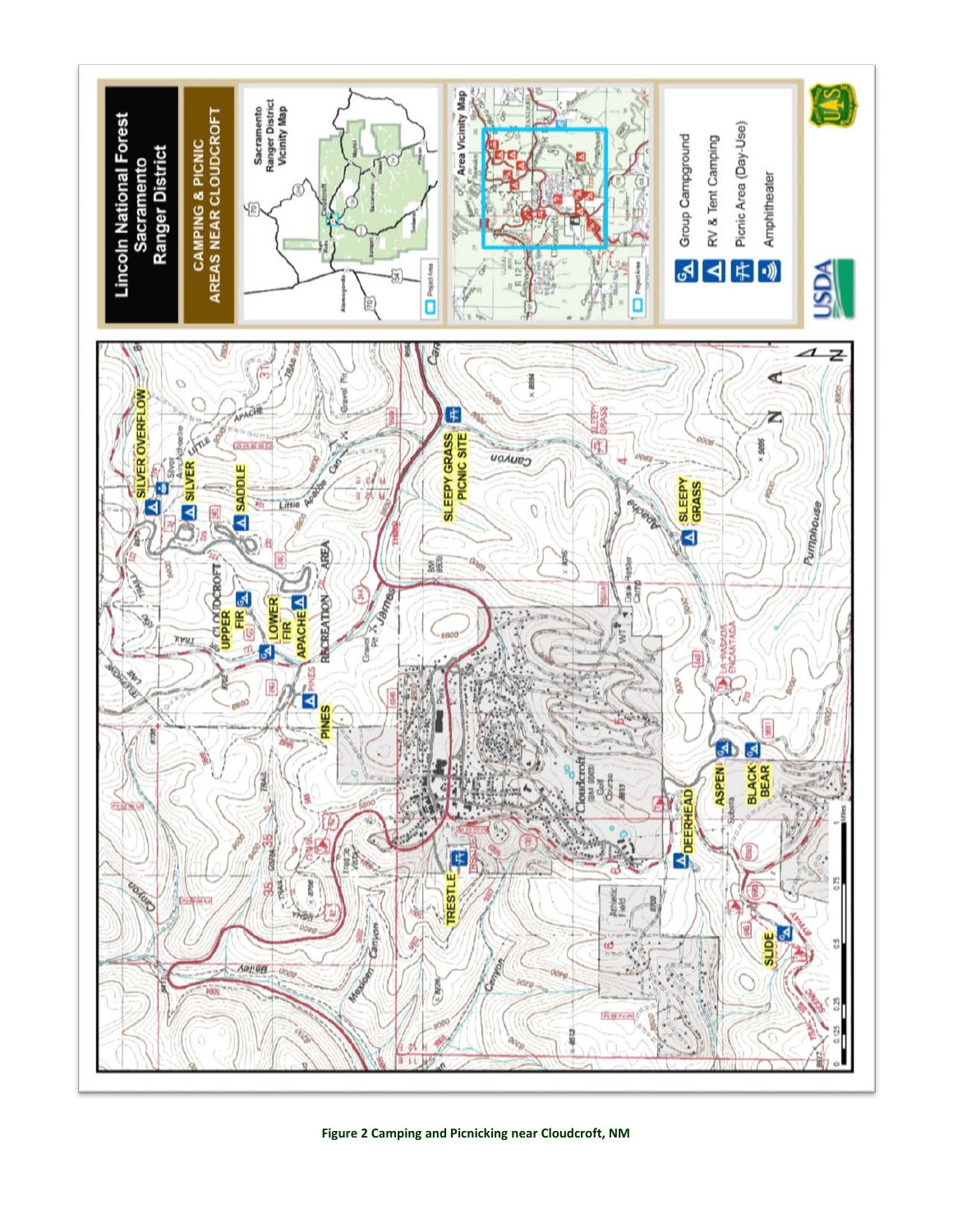

**Figure 2 Camping and Picnicking near Cloudcroft, NM**